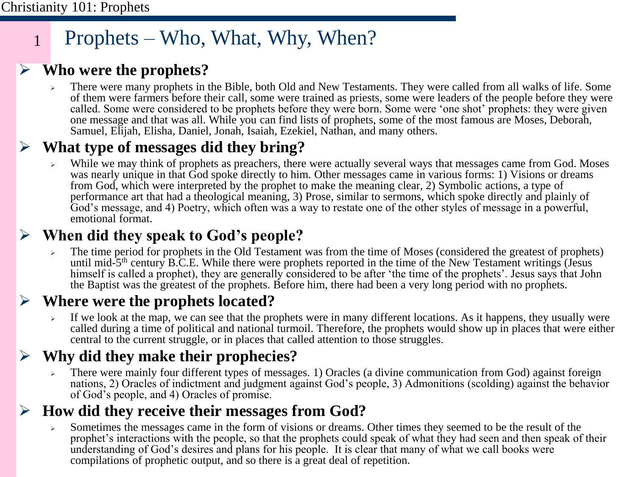1

# Prophets – Who, What, Why, When?

## ➢ **Who were the prophets?**

➢ There were many prophets in the Bible, both Old and New Testaments. They were called from all walks of life. Some of them were farmers before their call, some were trained as priests, some were leaders of the people before they were called. Some were considered to be prophets before they were born. Some were 'one shot' prophets: they were given one message and that was all. While you can find lists of prophets, some of the most famous are Moses, Deborah, Samuel, Elijah, Elisha, Daniel, Jonah, Isaiah, Ezekiel, Nathan, and many others.

## ➢ **What type of messages did they bring?**

While we may think of prophets as preachers, there were actually several ways that messages came from God. Moses was nearly unique in that God spoke directly to him. Other messages came in various forms: 1) Visions or dreams from God, which were interpreted by the prophet to make the meaning clear, 2) Symbolic actions, a type of performance art that had a theological meaning, 3) Prose, similar to sermons, which spoke directly and plainly of God's message, and 4) Poetry, which often was a way to restate one of the other styles of message in a powerful, emotional format.

## ➢ **When did they speak to God's people?**

➢ The time period for prophets in the Old Testament was from the time of Moses (considered the greatest of prophets) until mid-5<sup>th</sup> century B.C.E. While there were prophets reported in the time of the New Testament writings (Jesus himself is called a prophet), they are generally considered to be after 'the time of the prophets'. Jesus says that John the Baptist was the greatest of the prophets. Before him, there had been a very long period with no prophets.

## ➢ **Where were the prophets located?**

If we look at the map, we can see that the prophets were in many different locations. As it happens, they usually were called during a time of political and national turmoil. Therefore, the prophets would show up in places that were either central to the current struggle, or in places that called attention to those struggles.

## ➢ **Why did they make their prophecies?**

➢ There were mainly four different types of messages. 1) Oracles (a divine communication from God) against foreign nations, 2) Oracles of indictment and judgment against God's people, 3) Admonitions (scolding) against the behavior of God's people, and 4) Oracles of promise.

## ➢ **How did they receive their messages from God?**

➢ Sometimes the messages came in the form of visions or dreams. Other times they seemed to be the result of the prophet's interactions with the people, so that the prophets could speak of what they had seen and then speak of their understanding of God's desires and plans for his people. It is clear that many of what we call books were compilations of prophetic output, and so there is a great deal of repetition.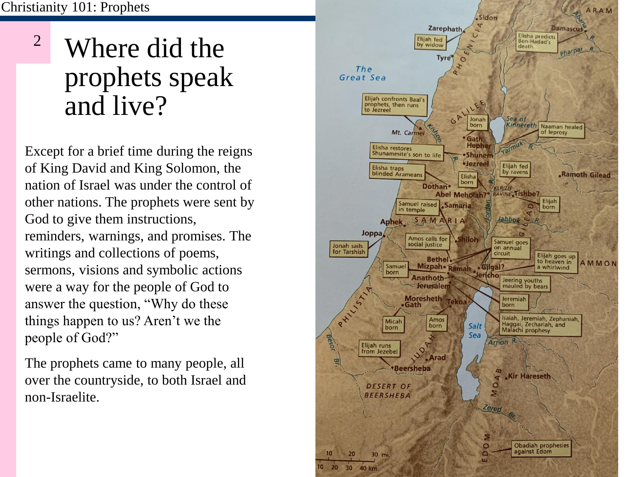# Where did the prophets speak and live? 2

Except for a brief time during the reigns of King David and King Solomon, the nation of Israel was under the control of other nations. The prophets were sent by God to give them instructions, reminders, warnings, and promises. The writings and collections of poems, sermons, visions and symbolic actions were a way for the people of God to answer the question, "Why do these things happen to us? Aren't we the people of God?"

The prophets came to many people, all over the countryside, to both Israel and non-Israelite.

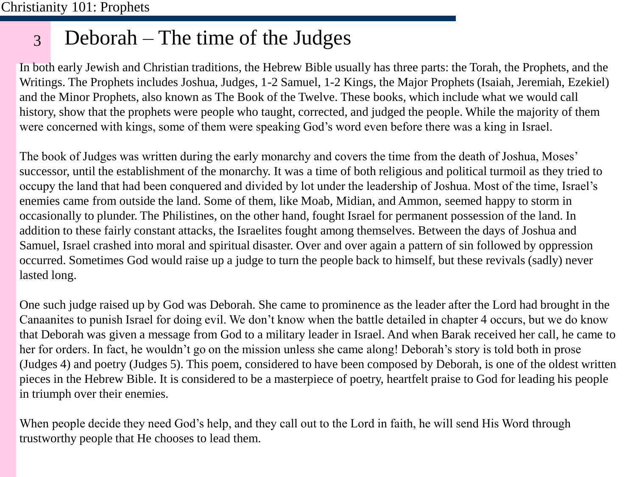#### 3 Deborah – The time of the Judges

In both early Jewish and Christian traditions, the Hebrew Bible usually has three parts: the Torah, the Prophets, and the Writings. The Prophets includes Joshua, Judges, 1-2 Samuel, 1-2 Kings, the Major Prophets (Isaiah, Jeremiah, Ezekiel) and the Minor Prophets, also known as The Book of the Twelve. These books, which include what we would call history, show that the prophets were people who taught, corrected, and judged the people. While the majority of them were concerned with kings, some of them were speaking God's word even before there was a king in Israel.

The book of Judges was written during the early monarchy and covers the time from the death of Joshua, Moses' successor, until the establishment of the monarchy. It was a time of both religious and political turmoil as they tried to occupy the land that had been conquered and divided by lot under the leadership of Joshua. Most of the time, Israel's enemies came from outside the land. Some of them, like Moab, Midian, and Ammon, seemed happy to storm in occasionally to plunder. The Philistines, on the other hand, fought Israel for permanent possession of the land. In addition to these fairly constant attacks, the Israelites fought among themselves. Between the days of Joshua and Samuel, Israel crashed into moral and spiritual disaster. Over and over again a pattern of sin followed by oppression occurred. Sometimes God would raise up a judge to turn the people back to himself, but these revivals (sadly) never lasted long.

One such judge raised up by God was Deborah. She came to prominence as the leader after the Lord had brought in the Canaanites to punish Israel for doing evil. We don't know when the battle detailed in chapter 4 occurs, but we do know that Deborah was given a message from God to a military leader in Israel. And when Barak received her call, he came to her for orders. In fact, he wouldn't go on the mission unless she came along! Deborah's story is told both in prose (Judges 4) and poetry (Judges 5). This poem, considered to have been composed by Deborah, is one of the oldest written pieces in the Hebrew Bible. It is considered to be a masterpiece of poetry, heartfelt praise to God for leading his people in triumph over their enemies.

When people decide they need God's help, and they call out to the Lord in faith, he will send His Word through trustworthy people that He chooses to lead them.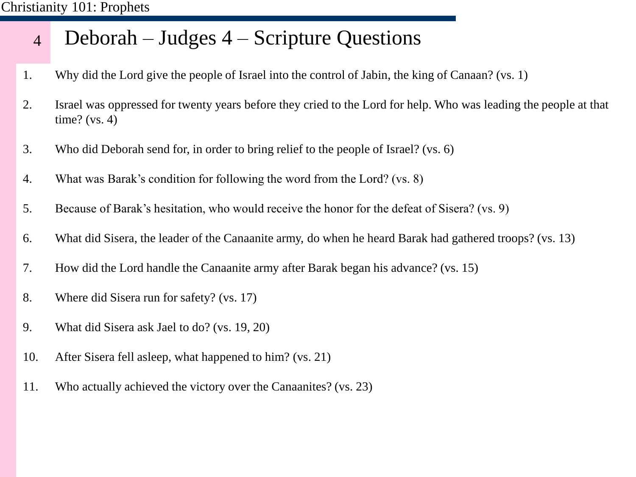#### 4 Deborah – Judges 4 – Scripture Questions

- 1. Why did the Lord give the people of Israel into the control of Jabin, the king of Canaan? (vs. 1)
- 2. Israel was oppressed for twenty years before they cried to the Lord for help. Who was leading the people at that time? (vs. 4)
- 3. Who did Deborah send for, in order to bring relief to the people of Israel? (vs. 6)
- 4. What was Barak's condition for following the word from the Lord? (vs. 8)
- 5. Because of Barak's hesitation, who would receive the honor for the defeat of Sisera? (vs. 9)
- 6. What did Sisera, the leader of the Canaanite army, do when he heard Barak had gathered troops? (vs. 13)
- 7. How did the Lord handle the Canaanite army after Barak began his advance? (vs. 15)
- 8. Where did Sisera run for safety? (vs. 17)
- 9. What did Sisera ask Jael to do? (vs. 19, 20)
- 10. After Sisera fell asleep, what happened to him? (vs. 21)
- 11. Who actually achieved the victory over the Canaanites? (vs. 23)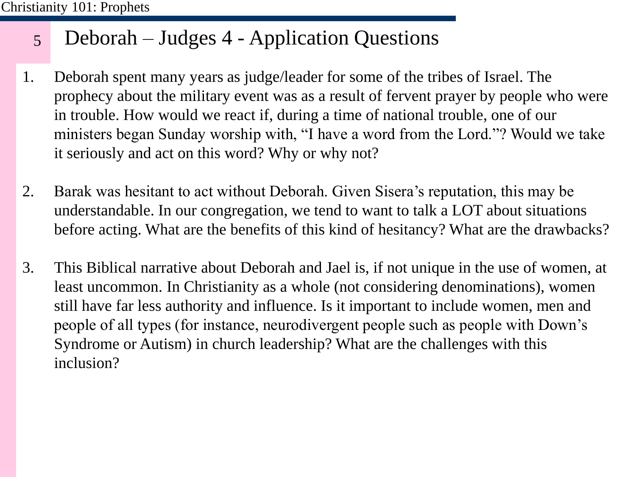#### 5 Deborah – Judges 4 - Application Questions

- 1. Deborah spent many years as judge/leader for some of the tribes of Israel. The prophecy about the military event was as a result of fervent prayer by people who were in trouble. How would we react if, during a time of national trouble, one of our ministers began Sunday worship with, "I have a word from the Lord."? Would we take it seriously and act on this word? Why or why not?
- 2. Barak was hesitant to act without Deborah. Given Sisera's reputation, this may be understandable. In our congregation, we tend to want to talk a LOT about situations before acting. What are the benefits of this kind of hesitancy? What are the drawbacks?
- 3. This Biblical narrative about Deborah and Jael is, if not unique in the use of women, at least uncommon. In Christianity as a whole (not considering denominations), women still have far less authority and influence. Is it important to include women, men and people of all types (for instance, neurodivergent people such as people with Down's Syndrome or Autism) in church leadership? What are the challenges with this inclusion?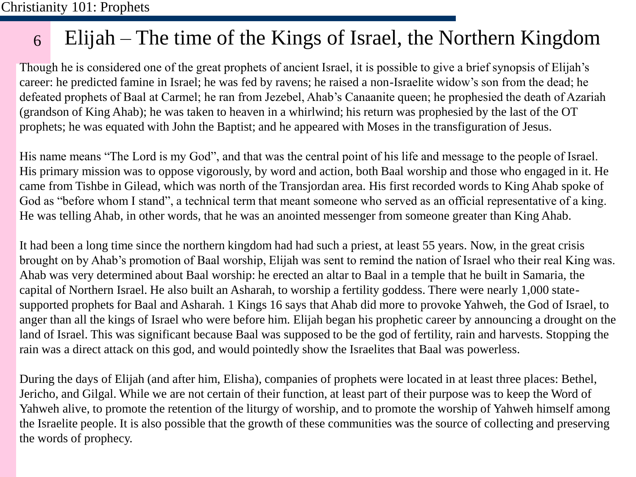#### 6 Elijah – The time of the Kings of Israel, the Northern Kingdom

Though he is considered one of the great prophets of ancient Israel, it is possible to give a brief synopsis of Elijah's career: he predicted famine in Israel; he was fed by ravens; he raised a non-Israelite widow's son from the dead; he defeated prophets of Baal at Carmel; he ran from Jezebel, Ahab's Canaanite queen; he prophesied the death of Azariah (grandson of King Ahab); he was taken to heaven in a whirlwind; his return was prophesied by the last of the OT prophets; he was equated with John the Baptist; and he appeared with Moses in the transfiguration of Jesus.

His name means "The Lord is my God", and that was the central point of his life and message to the people of Israel. His primary mission was to oppose vigorously, by word and action, both Baal worship and those who engaged in it. He came from Tishbe in Gilead, which was north of the Transjordan area. His first recorded words to King Ahab spoke of God as "before whom I stand", a technical term that meant someone who served as an official representative of a king. He was telling Ahab, in other words, that he was an anointed messenger from someone greater than King Ahab.

It had been a long time since the northern kingdom had had such a priest, at least 55 years. Now, in the great crisis brought on by Ahab's promotion of Baal worship, Elijah was sent to remind the nation of Israel who their real King was. Ahab was very determined about Baal worship: he erected an altar to Baal in a temple that he built in Samaria, the capital of Northern Israel. He also built an Asharah, to worship a fertility goddess. There were nearly 1,000 statesupported prophets for Baal and Asharah. 1 Kings 16 says that Ahab did more to provoke Yahweh, the God of Israel, to anger than all the kings of Israel who were before him. Elijah began his prophetic career by announcing a drought on the land of Israel. This was significant because Baal was supposed to be the god of fertility, rain and harvests. Stopping the rain was a direct attack on this god, and would pointedly show the Israelites that Baal was powerless.

During the days of Elijah (and after him, Elisha), companies of prophets were located in at least three places: Bethel, Jericho, and Gilgal. While we are not certain of their function, at least part of their purpose was to keep the Word of Yahweh alive, to promote the retention of the liturgy of worship, and to promote the worship of Yahweh himself among the Israelite people. It is also possible that the growth of these communities was the source of collecting and preserving the words of prophecy.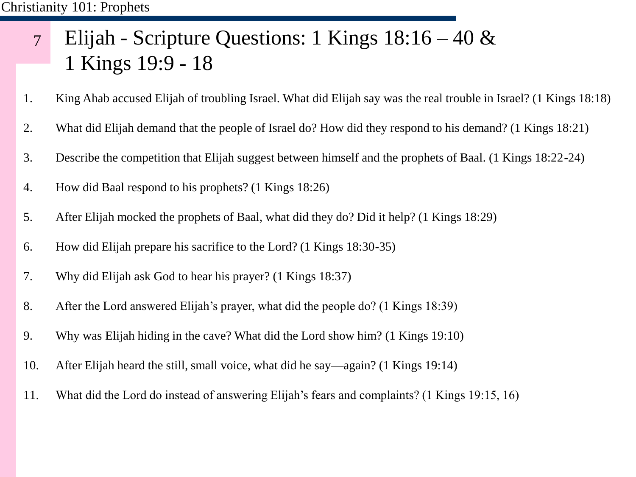### 7 Elijah - Scripture Questions: 1 Kings 18:16 – 40 & 1 Kings 19:9 - 18

- 1. King Ahab accused Elijah of troubling Israel. What did Elijah say was the real trouble in Israel? (1 Kings 18:18)
- 2. What did Elijah demand that the people of Israel do? How did they respond to his demand? (1 Kings 18:21)
- 3. Describe the competition that Elijah suggest between himself and the prophets of Baal. (1 Kings 18:22-24)
- 4. How did Baal respond to his prophets? (1 Kings 18:26)
- 5. After Elijah mocked the prophets of Baal, what did they do? Did it help? (1 Kings 18:29)
- 6. How did Elijah prepare his sacrifice to the Lord? (1 Kings 18:30-35)
- 7. Why did Elijah ask God to hear his prayer? (1 Kings 18:37)
- 8. After the Lord answered Elijah's prayer, what did the people do? (1 Kings 18:39)
- 9. Why was Elijah hiding in the cave? What did the Lord show him? (1 Kings 19:10)
- 10. After Elijah heard the still, small voice, what did he say—again? (1 Kings 19:14)
- 11. What did the Lord do instead of answering Elijah's fears and complaints? (1 Kings 19:15, 16)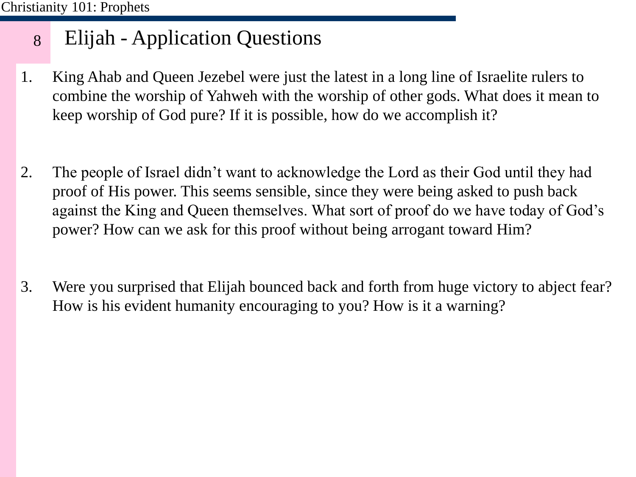#### 8 Elijah - Application Questions

- 1. King Ahab and Queen Jezebel were just the latest in a long line of Israelite rulers to combine the worship of Yahweh with the worship of other gods. What does it mean to keep worship of God pure? If it is possible, how do we accomplish it?
- 2. The people of Israel didn't want to acknowledge the Lord as their God until they had proof of His power. This seems sensible, since they were being asked to push back against the King and Queen themselves. What sort of proof do we have today of God's power? How can we ask for this proof without being arrogant toward Him?
- 3. Were you surprised that Elijah bounced back and forth from huge victory to abject fear? How is his evident humanity encouraging to you? How is it a warning?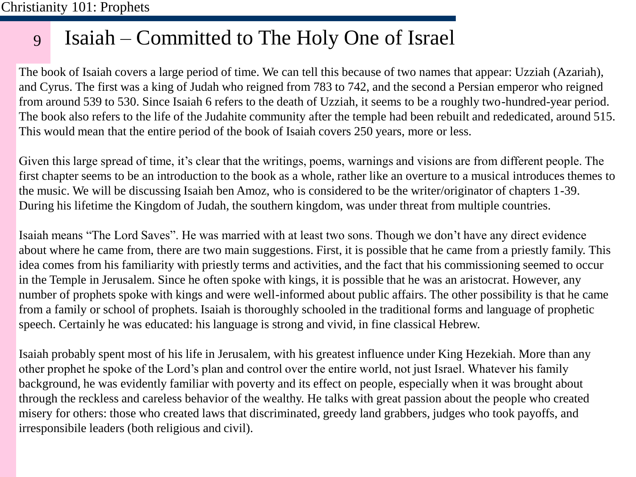#### 9 Isaiah – Committed to The Holy One of Israel

The book of Isaiah covers a large period of time. We can tell this because of two names that appear: Uzziah (Azariah), and Cyrus. The first was a king of Judah who reigned from 783 to 742, and the second a Persian emperor who reigned from around 539 to 530. Since Isaiah 6 refers to the death of Uzziah, it seems to be a roughly two-hundred-year period. The book also refers to the life of the Judahite community after the temple had been rebuilt and rededicated, around 515. This would mean that the entire period of the book of Isaiah covers 250 years, more or less.

Given this large spread of time, it's clear that the writings, poems, warnings and visions are from different people. The first chapter seems to be an introduction to the book as a whole, rather like an overture to a musical introduces themes to the music. We will be discussing Isaiah ben Amoz, who is considered to be the writer/originator of chapters 1-39. During his lifetime the Kingdom of Judah, the southern kingdom, was under threat from multiple countries.

Isaiah means "The Lord Saves". He was married with at least two sons. Though we don't have any direct evidence about where he came from, there are two main suggestions. First, it is possible that he came from a priestly family. This idea comes from his familiarity with priestly terms and activities, and the fact that his commissioning seemed to occur in the Temple in Jerusalem. Since he often spoke with kings, it is possible that he was an aristocrat. However, any number of prophets spoke with kings and were well-informed about public affairs. The other possibility is that he came from a family or school of prophets. Isaiah is thoroughly schooled in the traditional forms and language of prophetic speech. Certainly he was educated: his language is strong and vivid, in fine classical Hebrew.

Isaiah probably spent most of his life in Jerusalem, with his greatest influence under King Hezekiah. More than any other prophet he spoke of the Lord's plan and control over the entire world, not just Israel. Whatever his family background, he was evidently familiar with poverty and its effect on people, especially when it was brought about through the reckless and careless behavior of the wealthy. He talks with great passion about the people who created misery for others: those who created laws that discriminated, greedy land grabbers, judges who took payoffs, and irresponsibile leaders (both religious and civil).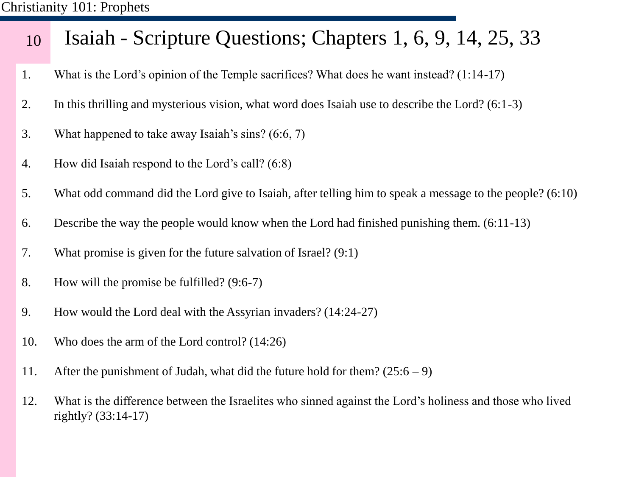#### 10 Isaiah - Scripture Questions; Chapters 1, 6, 9, 14, 25, 33

- 1. What is the Lord's opinion of the Temple sacrifices? What does he want instead? (1:14-17)
- 2. In this thrilling and mysterious vision, what word does Isaiah use to describe the Lord? (6:1-3)
- 3. What happened to take away Isaiah's sins? (6:6, 7)
- 4. How did Isaiah respond to the Lord's call? (6:8)
- 5. What odd command did the Lord give to Isaiah, after telling him to speak a message to the people? (6:10)
- 6. Describe the way the people would know when the Lord had finished punishing them. (6:11-13)
- 7. What promise is given for the future salvation of Israel? (9:1)
- 8. How will the promise be fulfilled? (9:6-7)
- 9. How would the Lord deal with the Assyrian invaders? (14:24-27)
- 10. Who does the arm of the Lord control? (14:26)
- 11. After the punishment of Judah, what did the future hold for them?  $(25:6 9)$
- 12. What is the difference between the Israelites who sinned against the Lord's holiness and those who lived rightly? (33:14-17)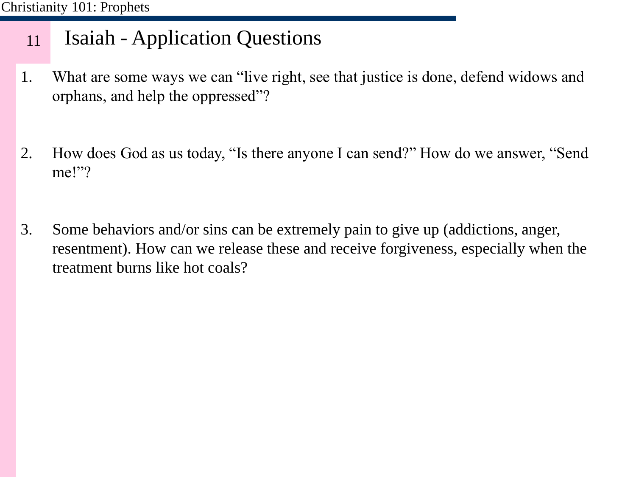#### 11 Isaiah - Application Questions

- 1. What are some ways we can "live right, see that justice is done, defend widows and orphans, and help the oppressed"?
- 2. How does God as us today, "Is there anyone I can send?" How do we answer, "Send me!"?
- 3. Some behaviors and/or sins can be extremely pain to give up (addictions, anger, resentment). How can we release these and receive forgiveness, especially when the treatment burns like hot coals?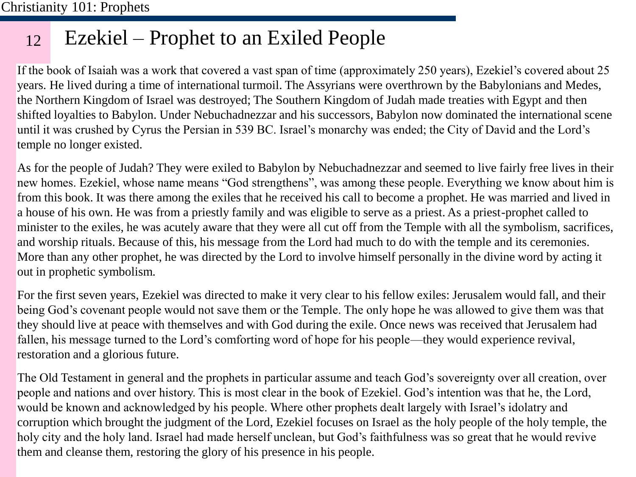#### 12 Ezekiel – Prophet to an Exiled People

If the book of Isaiah was a work that covered a vast span of time (approximately 250 years), Ezekiel's covered about 25 years. He lived during a time of international turmoil. The Assyrians were overthrown by the Babylonians and Medes, the Northern Kingdom of Israel was destroyed; The Southern Kingdom of Judah made treaties with Egypt and then shifted loyalties to Babylon. Under Nebuchadnezzar and his successors, Babylon now dominated the international scene until it was crushed by Cyrus the Persian in 539 BC. Israel's monarchy was ended; the City of David and the Lord's temple no longer existed.

As for the people of Judah? They were exiled to Babylon by Nebuchadnezzar and seemed to live fairly free lives in their new homes. Ezekiel, whose name means "God strengthens", was among these people. Everything we know about him is from this book. It was there among the exiles that he received his call to become a prophet. He was married and lived in a house of his own. He was from a priestly family and was eligible to serve as a priest. As a priest-prophet called to minister to the exiles, he was acutely aware that they were all cut off from the Temple with all the symbolism, sacrifices, and worship rituals. Because of this, his message from the Lord had much to do with the temple and its ceremonies. More than any other prophet, he was directed by the Lord to involve himself personally in the divine word by acting it out in prophetic symbolism.

For the first seven years, Ezekiel was directed to make it very clear to his fellow exiles: Jerusalem would fall, and their being God's covenant people would not save them or the Temple. The only hope he was allowed to give them was that they should live at peace with themselves and with God during the exile. Once news was received that Jerusalem had fallen, his message turned to the Lord's comforting word of hope for his people—they would experience revival, restoration and a glorious future.

The Old Testament in general and the prophets in particular assume and teach God's sovereignty over all creation, over people and nations and over history. This is most clear in the book of Ezekiel. God's intention was that he, the Lord, would be known and acknowledged by his people. Where other prophets dealt largely with Israel's idolatry and corruption which brought the judgment of the Lord, Ezekiel focuses on Israel as the holy people of the holy temple, the holy city and the holy land. Israel had made herself unclean, but God's faithfulness was so great that he would revive them and cleanse them, restoring the glory of his presence in his people.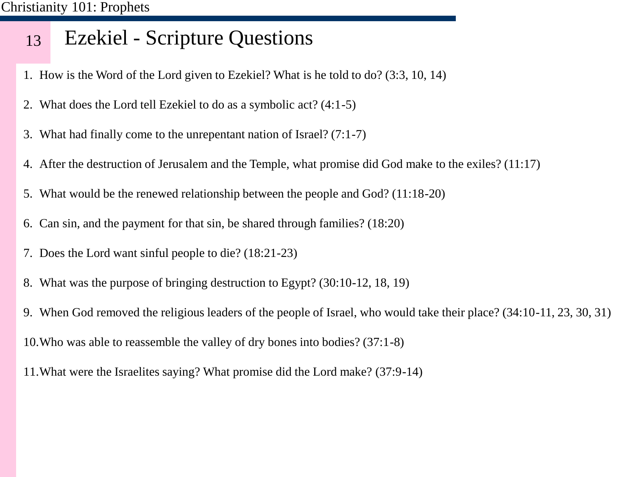#### 13 Ezekiel - Scripture Questions

- 1. How is the Word of the Lord given to Ezekiel? What is he told to do? (3:3, 10, 14)
- 2. What does the Lord tell Ezekiel to do as a symbolic act? (4:1-5)
- 3. What had finally come to the unrepentant nation of Israel? (7:1-7)
- 4. After the destruction of Jerusalem and the Temple, what promise did God make to the exiles? (11:17)
- 5. What would be the renewed relationship between the people and God? (11:18-20)
- 6. Can sin, and the payment for that sin, be shared through families? (18:20)
- 7. Does the Lord want sinful people to die? (18:21-23)
- 8. What was the purpose of bringing destruction to Egypt? (30:10-12, 18, 19)
- 9. When God removed the religious leaders of the people of Israel, who would take their place? (34:10-11, 23, 30, 31) 10.Who was able to reassemble the valley of dry bones into bodies? (37:1-8)
- 
- 11.What were the Israelites saying? What promise did the Lord make? (37:9-14)